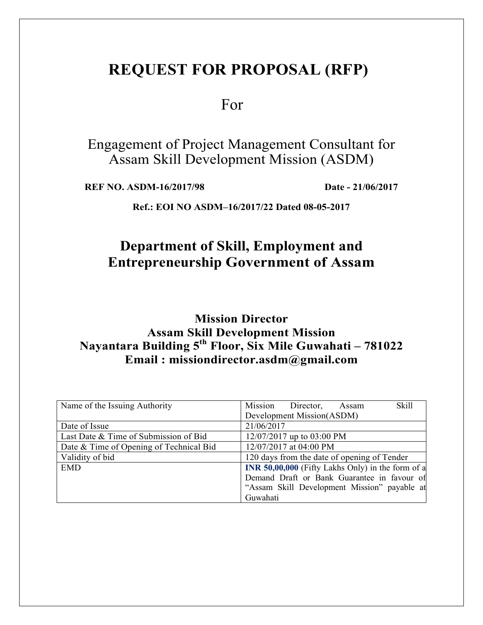# **REQUEST FOR PROPOSAL (RFP)**

For

Engagement of Project Management Consultant for Assam Skill Development Mission (ASDM)

**REF NO. ASDM-16/2017/98 Date - 21/06/2017** 

**Ref.: EOI NO ASDM–16/2017/22 Dated 08-05-2017** 

# **Department of Skill, Employment and Entrepreneurship Government of Assam**

**Mission Director Assam Skill Development Mission Nayantara Building 5th Floor, Six Mile Guwahati – 781022 Email : missiondirector.asdm@gmail.com**

| Name of the Issuing Authority           | Skill<br>Mission Director,<br>Assam                      |
|-----------------------------------------|----------------------------------------------------------|
|                                         | Development Mission(ASDM)                                |
| Date of Issue                           | 21/06/2017                                               |
| Last Date & Time of Submission of Bid   | 12/07/2017 up to 03:00 PM                                |
| Date & Time of Opening of Technical Bid | 12/07/2017 at 04:00 PM                                   |
| Validity of bid                         | 120 days from the date of opening of Tender              |
| <b>EMD</b>                              | <b>INR 50,00,000</b> (Fifty Lakhs Only) in the form of a |
|                                         | Demand Draft or Bank Guarantee in favour of              |
|                                         | "Assam Skill Development Mission" payable at             |
|                                         | Guwahati                                                 |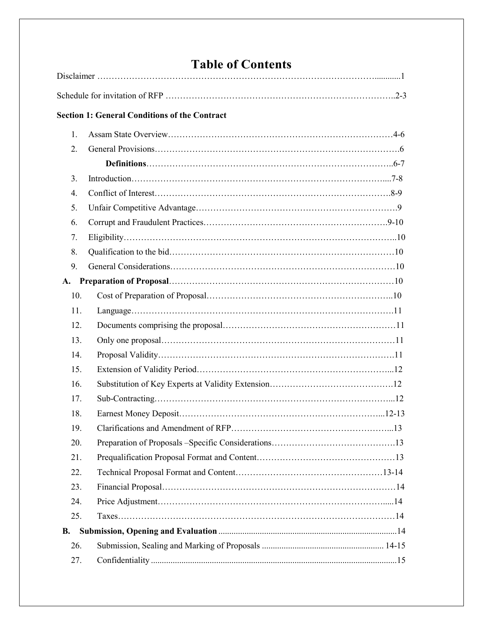# **Table of Contents**

|                  | <b>Section 1: General Conditions of the Contract</b> |
|------------------|------------------------------------------------------|
| 1.               |                                                      |
| 2.               |                                                      |
|                  |                                                      |
| 3.               |                                                      |
| $\overline{4}$ . |                                                      |
| 5.               |                                                      |
| 6.               |                                                      |
| 7.               |                                                      |
| 8.               |                                                      |
| 9.               |                                                      |
| A.               |                                                      |
| 10.              |                                                      |
| 11.              |                                                      |
| 12.              |                                                      |
| 13.              |                                                      |
| 14.              |                                                      |
| 15.              |                                                      |
| 16.              |                                                      |
| 17.              |                                                      |
| 18.              |                                                      |
| 19.              |                                                      |
| 20.              |                                                      |
| 21.              |                                                      |
| 22.              |                                                      |
| 23.              |                                                      |
| 24.              |                                                      |
| 25.              |                                                      |
| <b>B.</b>        |                                                      |
| 26.              |                                                      |
| 27.              |                                                      |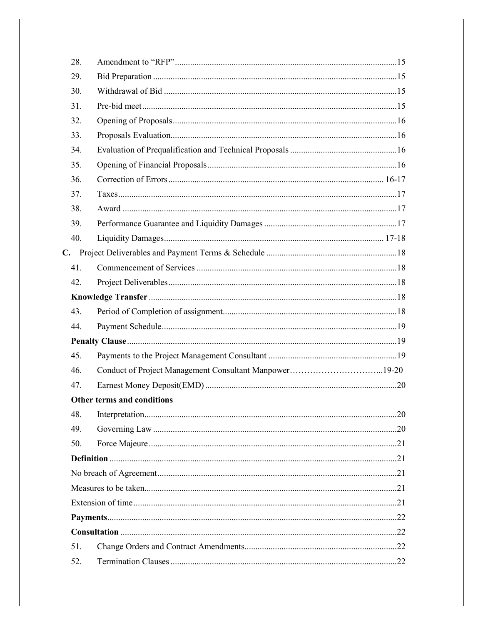| 28. |                                                        |  |
|-----|--------------------------------------------------------|--|
| 29. |                                                        |  |
| 30. |                                                        |  |
| 31. |                                                        |  |
| 32. |                                                        |  |
| 33. |                                                        |  |
| 34. |                                                        |  |
| 35. |                                                        |  |
| 36. |                                                        |  |
| 37. |                                                        |  |
| 38. |                                                        |  |
| 39. |                                                        |  |
| 40. |                                                        |  |
|     |                                                        |  |
| 41. |                                                        |  |
| 42. |                                                        |  |
|     |                                                        |  |
| 43. |                                                        |  |
| 44. |                                                        |  |
|     |                                                        |  |
| 45. |                                                        |  |
| 46. | Conduct of Project Management Consultant Manpower19-20 |  |
| 47. |                                                        |  |
|     | Other terms and conditions                             |  |
| 48. |                                                        |  |
| 49. |                                                        |  |
| 50. |                                                        |  |
|     |                                                        |  |
|     |                                                        |  |
|     |                                                        |  |
|     |                                                        |  |
|     |                                                        |  |
|     |                                                        |  |
| 51. |                                                        |  |
| 52. |                                                        |  |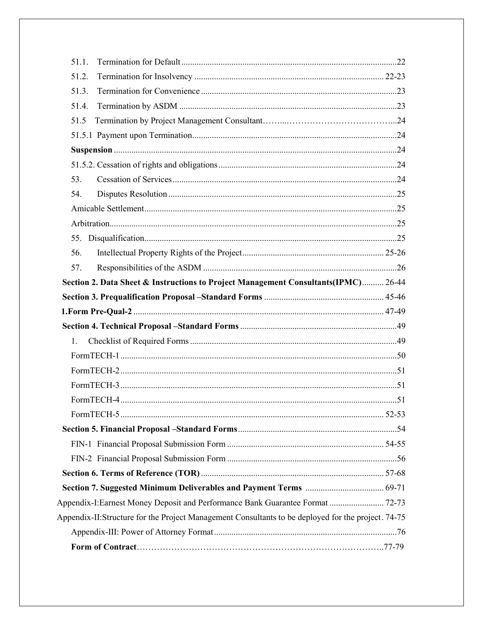| 51.1.                                                                                              |  |
|----------------------------------------------------------------------------------------------------|--|
| 51.2.                                                                                              |  |
| 51.3.                                                                                              |  |
| 51.4.                                                                                              |  |
| 51.5                                                                                               |  |
|                                                                                                    |  |
|                                                                                                    |  |
|                                                                                                    |  |
| 53.                                                                                                |  |
| 54.                                                                                                |  |
|                                                                                                    |  |
|                                                                                                    |  |
|                                                                                                    |  |
| 56.                                                                                                |  |
| 57.                                                                                                |  |
| Section 2. Data Sheet & Instructions to Project Management Consultants(IPMC) 26-44                 |  |
|                                                                                                    |  |
|                                                                                                    |  |
|                                                                                                    |  |
| 1.                                                                                                 |  |
|                                                                                                    |  |
|                                                                                                    |  |
|                                                                                                    |  |
|                                                                                                    |  |
|                                                                                                    |  |
|                                                                                                    |  |
|                                                                                                    |  |
|                                                                                                    |  |
|                                                                                                    |  |
|                                                                                                    |  |
| Appendix-I: Earnest Money Deposit and Performance Bank Guarantee Format  72-73                     |  |
| Appendix-II:Structure for the Project Management Consultants to be deployed for the project. 74-75 |  |
|                                                                                                    |  |
|                                                                                                    |  |